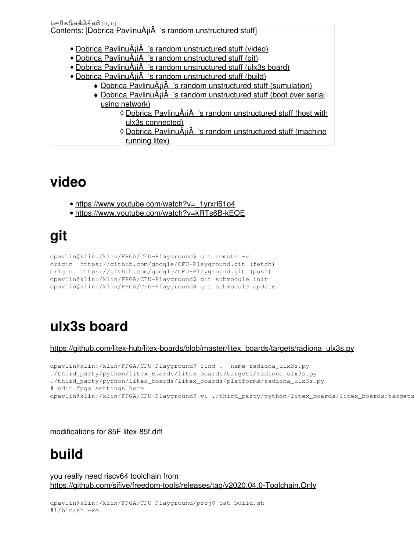| t=0x0xa4464208[0,0]                                                       |
|---------------------------------------------------------------------------|
| Contents: [Dobrica PavlinuÅ <sub>l</sub> iÄ 's random unstructured stuff] |
|                                                                           |
| • Dobrica PavlinuÅi $\ddot{A}$ 's random unstructured stuff (video)       |
| • Dobrica PavlinuÅjiÄ 's random unstructured stuff (git)                  |
| • Dobrica PavlinuÅiiÄ 's random unstructured stuff (ulx3s board)          |
| • Dobrica PavlinuÅiiA 's random unstructured stuff (build)                |
| • Dobrica PavlinuÅjiÄ 's random unstructured stuff (sumulation)           |
| • Dobrica PavlinuÅiiÄ 's random unstructured stuff (boot over serial      |
| using network)                                                            |
| ◊ Dobrica PavlinuÅiiÄ 's random unstructured stuff (host with             |
| ulx3s connected)                                                          |
| <u> ◊ Dobrica PavlinuÅji 's random unstructured stuff (machine</u>        |
| running litex)                                                            |
|                                                                           |

## **video**

- [https://www.youtube.com/watch?v=\\_1yrxrl61o4](https://www.youtube.com/watch?v=_1yrxrl61o4)
- <https://www.youtube.com/watch?v=kRTs6B-kEOE>

# **git**

```
dpavlin@klin:/klin/FPGA/CFU-Playground$ git remote -v
origin https://github.com/google/CFU-Playground.git (fetch)
origin https://github.com/google/CFU-Playground.git (push)
dpavlin@klin:/klin/FPGA/CFU-Playground$ git submodule init
dpavlin@klin:/klin/FPGA/CFU-Playground$ git submodule update
```
## **ulx3s board**

[https://github.com/litex-hub/litex-boards/blob/master/litex\\_boards/targets/radiona\\_ulx3s.py](https://github.com/litex-hub/litex-boards/blob/master/litex_boards/targets/radiona_ulx3s.py)

```
dpavlin@klin:/klin/FPGA/CFU-Playground$ find . -name radiona_ulx3s.py
./third_party/python/litex_boards/litex_boards/targets/radiona_ulx3s.py
./third_party/python/litex_boards/litex_boards/platforms/radiona_ulx3s.py
# edit fpga settings here
dpavlin@klin:/klin/FPGA/CFU-Playground$ vi ./third_party/python/litex_boards/litex_boards/targets
```
#### modifications for 85F [litex-85f.diff](https://saturn.ffzg.hr/rot13/index.cgi/litex-85f.diff?action=attachments_download;page_name=cfu_playground;id=20210722074538-0-29873)

## **build**

you really need riscv64 toolchain from <https://github.com/sifive/freedom-tools/releases/tag/v2020.04.0-Toolchain.Only>

```
dpavlin@klin:/klin/FPGA/CFU-Playground/proj$ cat build.sh
#!/bin/sh -xe
```